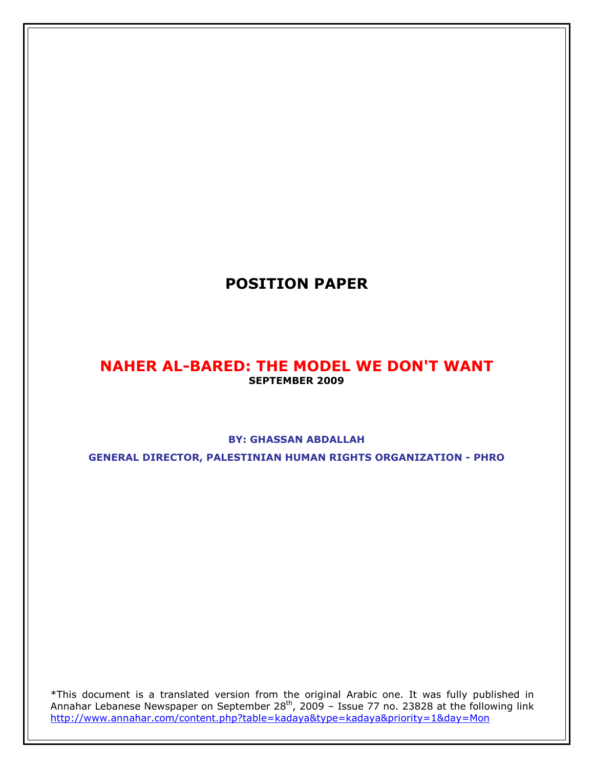# POSITION PAPER

# NAHER AL-BARED: THE MODEL WE DON'T WANT SEPTEMBER 2009

## BY: GHASSAN ABDALLAH

GENERAL DIRECTOR, PALESTINIAN HUMAN RIGHTS ORGANIZATION - PHRO

\*This document is a translated version from the original Arabic one. It was fully published in Annahar Lebanese Newspaper on September 28<sup>th</sup>, 2009 - Issue 77 no. 23828 at the following link http://www.annahar.com/content.php?table=kadaya&type=kadaya&priority=1&day=Mon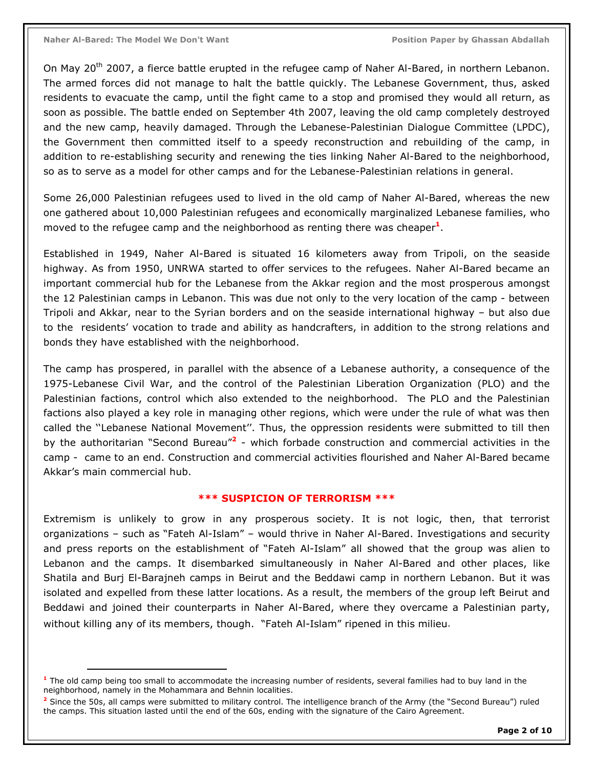$\overline{a}$ 

On May 20<sup>th</sup> 2007, a fierce battle erupted in the refugee camp of Naher Al-Bared, in northern Lebanon. The armed forces did not manage to halt the battle quickly. The Lebanese Government, thus, asked residents to evacuate the camp, until the fight came to a stop and promised they would all return, as soon as possible. The battle ended on September 4th 2007, leaving the old camp completely destroyed and the new camp, heavily damaged. Through the Lebanese-Palestinian Dialogue Committee (LPDC), the Government then committed itself to a speedy reconstruction and rebuilding of the camp, in addition to re-establishing security and renewing the ties linking Naher Al-Bared to the neighborhood, so as to serve as a model for other camps and for the Lebanese-Palestinian relations in general.

Some 26,000 Palestinian refugees used to lived in the old camp of Naher Al-Bared, whereas the new one gathered about 10,000 Palestinian refugees and economically marginalized Lebanese families, who moved to the refugee camp and the neighborhood as renting there was cheaper<sup>1</sup>.

Established in 1949, Naher Al-Bared is situated 16 kilometers away from Tripoli, on the seaside highway. As from 1950, UNRWA started to offer services to the refugees. Naher Al-Bared became an important commercial hub for the Lebanese from the Akkar region and the most prosperous amongst the 12 Palestinian camps in Lebanon. This was due not only to the very location of the camp - between Tripoli and Akkar, near to the Syrian borders and on the seaside international highway – but also due to the residents' vocation to trade and ability as handcrafters, in addition to the strong relations and bonds they have established with the neighborhood.

The camp has prospered, in parallel with the absence of a Lebanese authority, a consequence of the 1975-Lebanese Civil War, and the control of the Palestinian Liberation Organization (PLO) and the Palestinian factions, control which also extended to the neighborhood. The PLO and the Palestinian factions also played a key role in managing other regions, which were under the rule of what was then called the ''Lebanese National Movement''. Thus, the oppression residents were submitted to till then by the authoritarian "Second Bureau"<sup>2</sup> - which forbade construction and commercial activities in the camp - came to an end. Construction and commercial activities flourished and Naher Al-Bared became Akkar's main commercial hub.

#### \*\*\* SUSPICION OF TERRORISM \*\*\*

Extremism is unlikely to grow in any prosperous society. It is not logic, then, that terrorist organizations – such as "Fateh Al-Islam" – would thrive in Naher Al-Bared. Investigations and security and press reports on the establishment of "Fateh Al-Islam" all showed that the group was alien to Lebanon and the camps. It disembarked simultaneously in Naher Al-Bared and other places, like Shatila and Burj El-Barajneh camps in Beirut and the Beddawi camp in northern Lebanon. But it was isolated and expelled from these latter locations. As a result, the members of the group left Beirut and Beddawi and joined their counterparts in Naher Al-Bared, where they overcame a Palestinian party, without killing any of its members, though. "Fateh Al-Islam" ripened in this milieu.

<sup>&</sup>lt;sup>1</sup> The old camp being too small to accommodate the increasing number of residents, several families had to buy land in the neighborhood, namely in the Mohammara and Behnin localities.

<sup>&</sup>lt;sup>2</sup> Since the 50s, all camps were submitted to military control. The intelligence branch of the Army (the "Second Bureau") ruled the camps. This situation lasted until the end of the 60s, ending with the signature of the Cairo Agreement.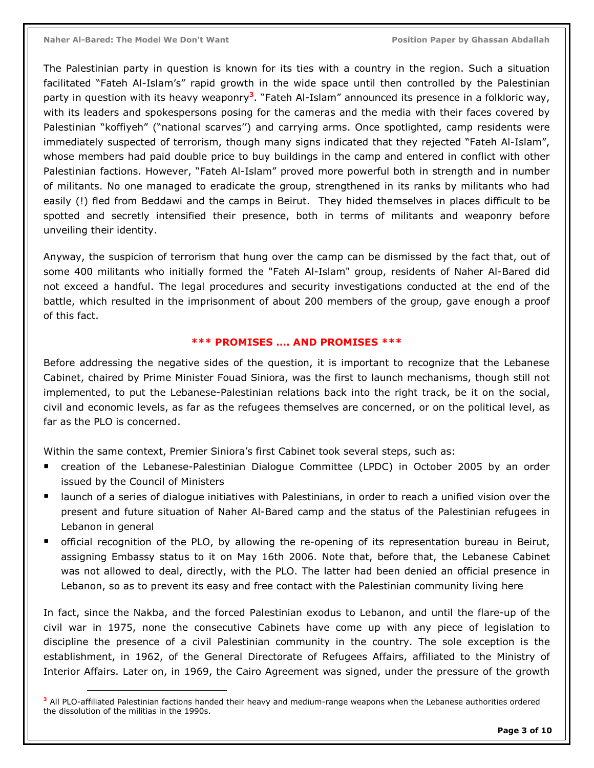$\overline{a}$ 

The Palestinian party in question is known for its ties with a country in the region. Such a situation facilitated "Fateh Al-Islam's" rapid growth in the wide space until then controlled by the Palestinian party in question with its heavy weaponry<sup>3</sup>. "Fateh Al-Islam" announced its presence in a folkloric way, with its leaders and spokespersons posing for the cameras and the media with their faces covered by Palestinian "koffiyeh" ("national scarves'') and carrying arms. Once spotlighted, camp residents were immediately suspected of terrorism, though many signs indicated that they rejected "Fateh Al-Islam", whose members had paid double price to buy buildings in the camp and entered in conflict with other Palestinian factions. However, "Fateh Al-Islam" proved more powerful both in strength and in number of militants. No one managed to eradicate the group, strengthened in its ranks by militants who had easily (!) fled from Beddawi and the camps in Beirut. They hided themselves in places difficult to be spotted and secretly intensified their presence, both in terms of militants and weaponry before unveiling their identity.

Anyway, the suspicion of terrorism that hung over the camp can be dismissed by the fact that, out of some 400 militants who initially formed the "Fateh Al-Islam" group, residents of Naher Al-Bared did not exceed a handful. The legal procedures and security investigations conducted at the end of the battle, which resulted in the imprisonment of about 200 members of the group, gave enough a proof of this fact.

#### \*\*\* PROMISES …. AND PROMISES \*\*\*

Before addressing the negative sides of the question, it is important to recognize that the Lebanese Cabinet, chaired by Prime Minister Fouad Siniora, was the first to launch mechanisms, though still not implemented, to put the Lebanese-Palestinian relations back into the right track, be it on the social, civil and economic levels, as far as the refugees themselves are concerned, or on the political level, as far as the PLO is concerned.

Within the same context, Premier Siniora's first Cabinet took several steps, such as:

- creation of the Lebanese-Palestinian Dialogue Committee (LPDC) in October 2005 by an order issued by the Council of Ministers
- launch of a series of dialogue initiatives with Palestinians, in order to reach a unified vision over the present and future situation of Naher Al-Bared camp and the status of the Palestinian refugees in Lebanon in general
- official recognition of the PLO, by allowing the re-opening of its representation bureau in Beirut, assigning Embassy status to it on May 16th 2006. Note that, before that, the Lebanese Cabinet was not allowed to deal, directly, with the PLO. The latter had been denied an official presence in Lebanon, so as to prevent its easy and free contact with the Palestinian community living here

In fact, since the Nakba, and the forced Palestinian exodus to Lebanon, and until the flare-up of the civil war in 1975, none the consecutive Cabinets have come up with any piece of legislation to discipline the presence of a civil Palestinian community in the country. The sole exception is the establishment, in 1962, of the General Directorate of Refugees Affairs, affiliated to the Ministry of Interior Affairs. Later on, in 1969, the Cairo Agreement was signed, under the pressure of the growth

<sup>&</sup>lt;sup>3</sup> All PLO-affiliated Palestinian factions handed their heavy and medium-range weapons when the Lebanese authorities ordered the dissolution of the militias in the 1990s.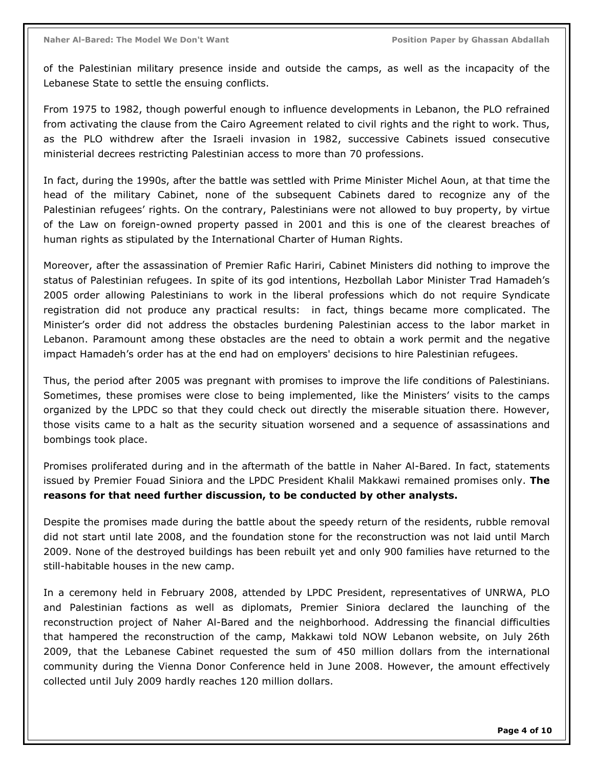of the Palestinian military presence inside and outside the camps, as well as the incapacity of the Lebanese State to settle the ensuing conflicts.

From 1975 to 1982, though powerful enough to influence developments in Lebanon, the PLO refrained from activating the clause from the Cairo Agreement related to civil rights and the right to work. Thus, as the PLO withdrew after the Israeli invasion in 1982, successive Cabinets issued consecutive ministerial decrees restricting Palestinian access to more than 70 professions.

In fact, during the 1990s, after the battle was settled with Prime Minister Michel Aoun, at that time the head of the military Cabinet, none of the subsequent Cabinets dared to recognize any of the Palestinian refugees' rights. On the contrary, Palestinians were not allowed to buy property, by virtue of the Law on foreign-owned property passed in 2001 and this is one of the clearest breaches of human rights as stipulated by the International Charter of Human Rights.

Moreover, after the assassination of Premier Rafic Hariri, Cabinet Ministers did nothing to improve the status of Palestinian refugees. In spite of its god intentions, Hezbollah Labor Minister Trad Hamadeh's 2005 order allowing Palestinians to work in the liberal professions which do not require Syndicate registration did not produce any practical results: in fact, things became more complicated. The Minister's order did not address the obstacles burdening Palestinian access to the labor market in Lebanon. Paramount among these obstacles are the need to obtain a work permit and the negative impact Hamadeh's order has at the end had on employers' decisions to hire Palestinian refugees.

Thus, the period after 2005 was pregnant with promises to improve the life conditions of Palestinians. Sometimes, these promises were close to being implemented, like the Ministers' visits to the camps organized by the LPDC so that they could check out directly the miserable situation there. However, those visits came to a halt as the security situation worsened and a sequence of assassinations and bombings took place.

Promises proliferated during and in the aftermath of the battle in Naher Al-Bared. In fact, statements issued by Premier Fouad Siniora and the LPDC President Khalil Makkawi remained promises only. **The** reasons for that need further discussion, to be conducted by other analysts.

Despite the promises made during the battle about the speedy return of the residents, rubble removal did not start until late 2008, and the foundation stone for the reconstruction was not laid until March 2009. None of the destroyed buildings has been rebuilt yet and only 900 families have returned to the still-habitable houses in the new camp.

In a ceremony held in February 2008, attended by LPDC President, representatives of UNRWA, PLO and Palestinian factions as well as diplomats, Premier Siniora declared the launching of the reconstruction project of Naher Al-Bared and the neighborhood. Addressing the financial difficulties that hampered the reconstruction of the camp, Makkawi told NOW Lebanon website, on July 26th 2009, that the Lebanese Cabinet requested the sum of 450 million dollars from the international community during the Vienna Donor Conference held in June 2008. However, the amount effectively collected until July 2009 hardly reaches 120 million dollars.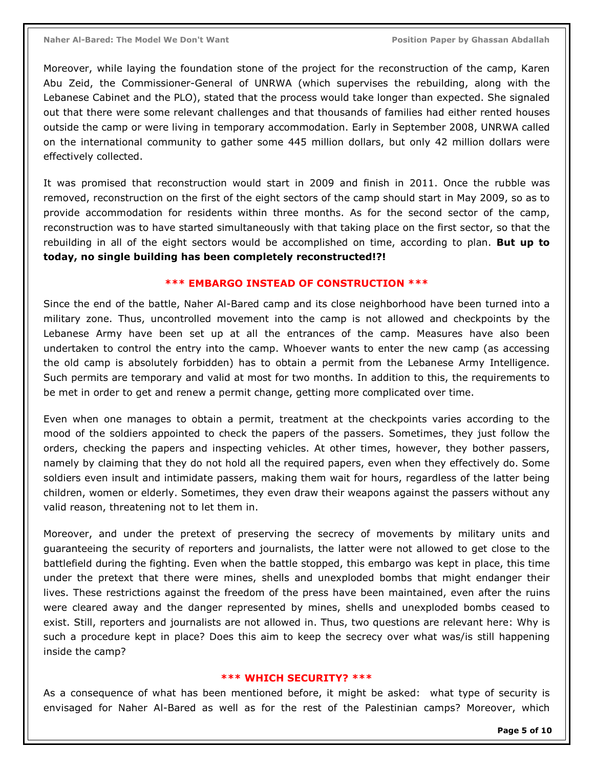Moreover, while laying the foundation stone of the project for the reconstruction of the camp, Karen Abu Zeid, the Commissioner-General of UNRWA (which supervises the rebuilding, along with the Lebanese Cabinet and the PLO), stated that the process would take longer than expected. She signaled out that there were some relevant challenges and that thousands of families had either rented houses outside the camp or were living in temporary accommodation. Early in September 2008, UNRWA called on the international community to gather some 445 million dollars, but only 42 million dollars were effectively collected.

It was promised that reconstruction would start in 2009 and finish in 2011. Once the rubble was removed, reconstruction on the first of the eight sectors of the camp should start in May 2009, so as to provide accommodation for residents within three months. As for the second sector of the camp, reconstruction was to have started simultaneously with that taking place on the first sector, so that the rebuilding in all of the eight sectors would be accomplished on time, according to plan. But up to today, no single building has been completely reconstructed!?!

#### \*\*\* EMBARGO INSTEAD OF CONSTRUCTION \*\*\*

Since the end of the battle, Naher Al-Bared camp and its close neighborhood have been turned into a military zone. Thus, uncontrolled movement into the camp is not allowed and checkpoints by the Lebanese Army have been set up at all the entrances of the camp. Measures have also been undertaken to control the entry into the camp. Whoever wants to enter the new camp (as accessing the old camp is absolutely forbidden) has to obtain a permit from the Lebanese Army Intelligence. Such permits are temporary and valid at most for two months. In addition to this, the requirements to be met in order to get and renew a permit change, getting more complicated over time.

Even when one manages to obtain a permit, treatment at the checkpoints varies according to the mood of the soldiers appointed to check the papers of the passers. Sometimes, they just follow the orders, checking the papers and inspecting vehicles. At other times, however, they bother passers, namely by claiming that they do not hold all the required papers, even when they effectively do. Some soldiers even insult and intimidate passers, making them wait for hours, regardless of the latter being children, women or elderly. Sometimes, they even draw their weapons against the passers without any valid reason, threatening not to let them in.

Moreover, and under the pretext of preserving the secrecy of movements by military units and guaranteeing the security of reporters and journalists, the latter were not allowed to get close to the battlefield during the fighting. Even when the battle stopped, this embargo was kept in place, this time under the pretext that there were mines, shells and unexploded bombs that might endanger their lives. These restrictions against the freedom of the press have been maintained, even after the ruins were cleared away and the danger represented by mines, shells and unexploded bombs ceased to exist. Still, reporters and journalists are not allowed in. Thus, two questions are relevant here: Why is such a procedure kept in place? Does this aim to keep the secrecy over what was/is still happening inside the camp?

#### \*\*\* WHICH SECURITY? \*\*\*

As a consequence of what has been mentioned before, it might be asked: what type of security is envisaged for Naher Al-Bared as well as for the rest of the Palestinian camps? Moreover, which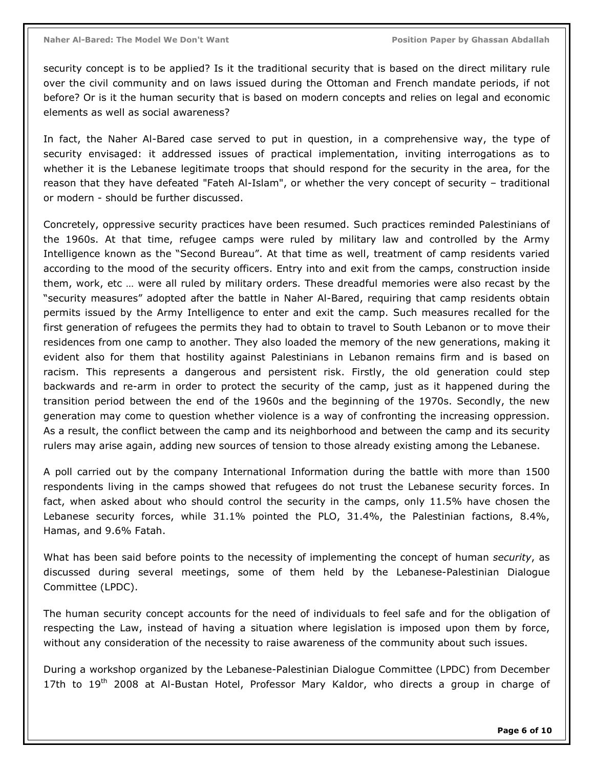security concept is to be applied? Is it the traditional security that is based on the direct military rule over the civil community and on laws issued during the Ottoman and French mandate periods, if not before? Or is it the human security that is based on modern concepts and relies on legal and economic elements as well as social awareness?

In fact, the Naher Al-Bared case served to put in question, in a comprehensive way, the type of security envisaged: it addressed issues of practical implementation, inviting interrogations as to whether it is the Lebanese legitimate troops that should respond for the security in the area, for the reason that they have defeated "Fateh Al-Islam", or whether the very concept of security – traditional or modern - should be further discussed.

Concretely, oppressive security practices have been resumed. Such practices reminded Palestinians of the 1960s. At that time, refugee camps were ruled by military law and controlled by the Army Intelligence known as the "Second Bureau". At that time as well, treatment of camp residents varied according to the mood of the security officers. Entry into and exit from the camps, construction inside them, work, etc … were all ruled by military orders. These dreadful memories were also recast by the "security measures" adopted after the battle in Naher Al-Bared, requiring that camp residents obtain permits issued by the Army Intelligence to enter and exit the camp. Such measures recalled for the first generation of refugees the permits they had to obtain to travel to South Lebanon or to move their residences from one camp to another. They also loaded the memory of the new generations, making it evident also for them that hostility against Palestinians in Lebanon remains firm and is based on racism. This represents a dangerous and persistent risk. Firstly, the old generation could step backwards and re-arm in order to protect the security of the camp, just as it happened during the transition period between the end of the 1960s and the beginning of the 1970s. Secondly, the new generation may come to question whether violence is a way of confronting the increasing oppression. As a result, the conflict between the camp and its neighborhood and between the camp and its security rulers may arise again, adding new sources of tension to those already existing among the Lebanese.

A poll carried out by the company International Information during the battle with more than 1500 respondents living in the camps showed that refugees do not trust the Lebanese security forces. In fact, when asked about who should control the security in the camps, only 11.5% have chosen the Lebanese security forces, while 31.1% pointed the PLO, 31.4%, the Palestinian factions, 8.4%, Hamas, and 9.6% Fatah.

What has been said before points to the necessity of implementing the concept of human security, as discussed during several meetings, some of them held by the Lebanese-Palestinian Dialogue Committee (LPDC).

The human security concept accounts for the need of individuals to feel safe and for the obligation of respecting the Law, instead of having a situation where legislation is imposed upon them by force, without any consideration of the necessity to raise awareness of the community about such issues.

During a workshop organized by the Lebanese-Palestinian Dialogue Committee (LPDC) from December 17th to  $19<sup>th</sup>$  2008 at Al-Bustan Hotel, Professor Mary Kaldor, who directs a group in charge of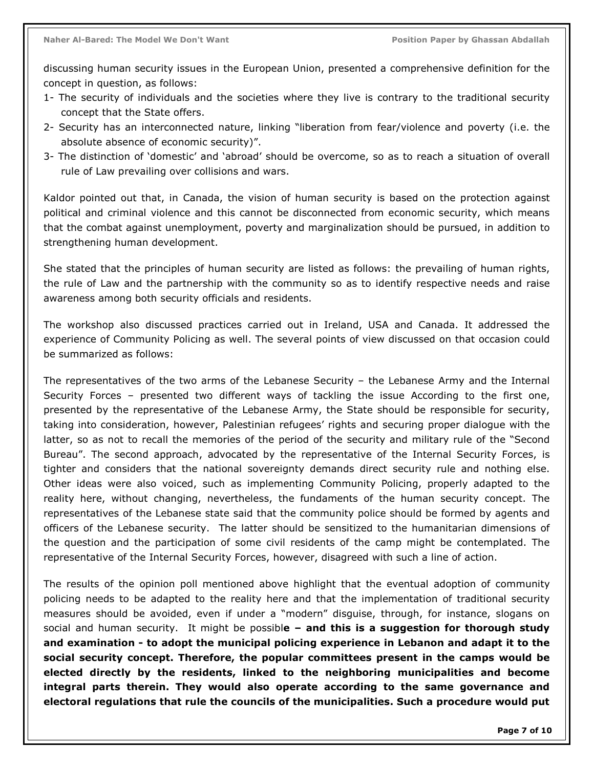discussing human security issues in the European Union, presented a comprehensive definition for the concept in question, as follows:

- 1- The security of individuals and the societies where they live is contrary to the traditional security concept that the State offers.
- 2- Security has an interconnected nature, linking "liberation from fear/violence and poverty (i.e. the absolute absence of economic security)".
- 3- The distinction of 'domestic' and 'abroad' should be overcome, so as to reach a situation of overall rule of Law prevailing over collisions and wars.

Kaldor pointed out that, in Canada, the vision of human security is based on the protection against political and criminal violence and this cannot be disconnected from economic security, which means that the combat against unemployment, poverty and marginalization should be pursued, in addition to strengthening human development.

She stated that the principles of human security are listed as follows: the prevailing of human rights, the rule of Law and the partnership with the community so as to identify respective needs and raise awareness among both security officials and residents.

The workshop also discussed practices carried out in Ireland, USA and Canada. It addressed the experience of Community Policing as well. The several points of view discussed on that occasion could be summarized as follows:

The representatives of the two arms of the Lebanese Security – the Lebanese Army and the Internal Security Forces – presented two different ways of tackling the issue According to the first one, presented by the representative of the Lebanese Army, the State should be responsible for security, taking into consideration, however, Palestinian refugees' rights and securing proper dialogue with the latter, so as not to recall the memories of the period of the security and military rule of the "Second Bureau". The second approach, advocated by the representative of the Internal Security Forces, is tighter and considers that the national sovereignty demands direct security rule and nothing else. Other ideas were also voiced, such as implementing Community Policing, properly adapted to the reality here, without changing, nevertheless, the fundaments of the human security concept. The representatives of the Lebanese state said that the community police should be formed by agents and officers of the Lebanese security. The latter should be sensitized to the humanitarian dimensions of the question and the participation of some civil residents of the camp might be contemplated. The representative of the Internal Security Forces, however, disagreed with such a line of action.

The results of the opinion poll mentioned above highlight that the eventual adoption of community policing needs to be adapted to the reality here and that the implementation of traditional security measures should be avoided, even if under a "modern" disguise, through, for instance, slogans on social and human security. It might be possible  $-$  and this is a suggestion for thorough study and examination - to adopt the municipal policing experience in Lebanon and adapt it to the social security concept. Therefore, the popular committees present in the camps would be elected directly by the residents, linked to the neighboring municipalities and become integral parts therein. They would also operate according to the same governance and electoral regulations that rule the councils of the municipalities. Such a procedure would put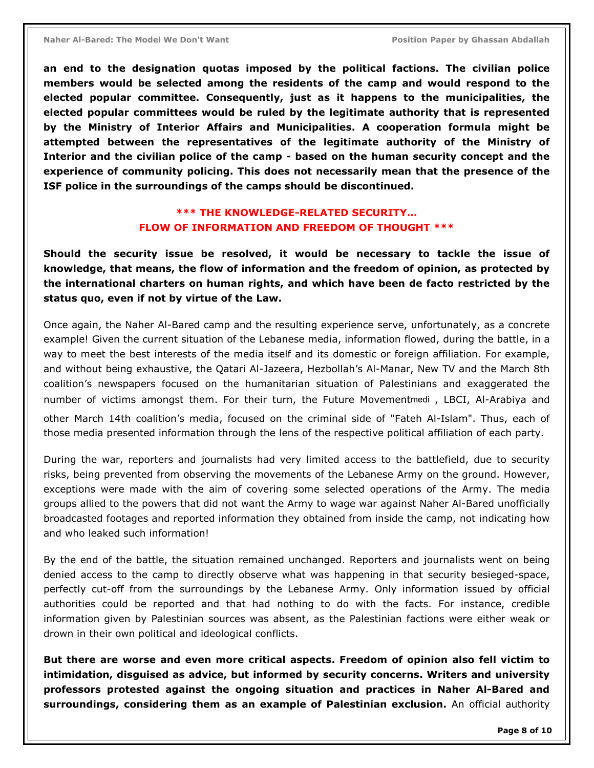an end to the designation quotas imposed by the political factions. The civilian police members would be selected among the residents of the camp and would respond to the elected popular committee. Consequently, just as it happens to the municipalities, the elected popular committees would be ruled by the legitimate authority that is represented by the Ministry of Interior Affairs and Municipalities. A cooperation formula might be attempted between the representatives of the legitimate authority of the Ministry of Interior and the civilian police of the camp - based on the human security concept and the experience of community policing. This does not necessarily mean that the presence of the ISF police in the surroundings of the camps should be discontinued.

### \*\*\* THE KNOWLEDGE-RELATED SECURITY… FLOW OF INFORMATION AND FREEDOM OF THOUGHT \*\*\*

Should the security issue be resolved, it would be necessary to tackle the issue of knowledge, that means, the flow of information and the freedom of opinion, as protected by the international charters on human rights, and which have been de facto restricted by the status quo, even if not by virtue of the Law.

Once again, the Naher Al-Bared camp and the resulting experience serve, unfortunately, as a concrete example! Given the current situation of the Lebanese media, information flowed, during the battle, in a way to meet the best interests of the media itself and its domestic or foreign affiliation. For example, and without being exhaustive, the Qatari Al-Jazeera, Hezbollah's Al-Manar, New TV and the March 8th coalition's newspapers focused on the humanitarian situation of Palestinians and exaggerated the number of victims amongst them. For their turn, the Future Movementmedi , LBCI, Al-Arabiya and other March 14th coalition's media, focused on the criminal side of "Fateh Al-Islam". Thus, each of those media presented information through the lens of the respective political affiliation of each party.

During the war, reporters and journalists had very limited access to the battlefield, due to security risks, being prevented from observing the movements of the Lebanese Army on the ground. However, exceptions were made with the aim of covering some selected operations of the Army. The media groups allied to the powers that did not want the Army to wage war against Naher Al-Bared unofficially broadcasted footages and reported information they obtained from inside the camp, not indicating how and who leaked such information!

By the end of the battle, the situation remained unchanged. Reporters and journalists went on being denied access to the camp to directly observe what was happening in that security besieged-space, perfectly cut-off from the surroundings by the Lebanese Army. Only information issued by official authorities could be reported and that had nothing to do with the facts. For instance, credible information given by Palestinian sources was absent, as the Palestinian factions were either weak or drown in their own political and ideological conflicts.

But there are worse and even more critical aspects. Freedom of opinion also fell victim to intimidation, disguised as advice, but informed by security concerns. Writers and university professors protested against the ongoing situation and practices in Naher Al-Bared and surroundings, considering them as an example of Palestinian exclusion. An official authority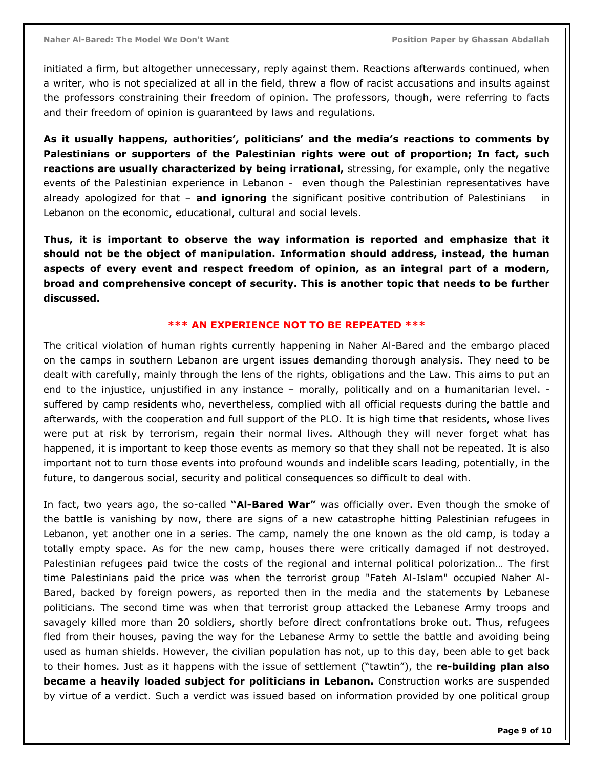initiated a firm, but altogether unnecessary, reply against them. Reactions afterwards continued, when a writer, who is not specialized at all in the field, threw a flow of racist accusations and insults against the professors constraining their freedom of opinion. The professors, though, were referring to facts and their freedom of opinion is guaranteed by laws and regulations.

As it usually happens, authorities', politicians' and the media's reactions to comments by Palestinians or supporters of the Palestinian rights were out of proportion; In fact, such reactions are usually characterized by being irrational, stressing, for example, only the negative events of the Palestinian experience in Lebanon - even though the Palestinian representatives have already apologized for that  $-$  and ignoring the significant positive contribution of Palestinians in Lebanon on the economic, educational, cultural and social levels.

Thus, it is important to observe the way information is reported and emphasize that it should not be the object of manipulation. Information should address, instead, the human aspects of every event and respect freedom of opinion, as an integral part of a modern, broad and comprehensive concept of security. This is another topic that needs to be further discussed.

#### \*\*\* AN EXPERIENCE NOT TO BE REPEATED \*\*\*

The critical violation of human rights currently happening in Naher Al-Bared and the embargo placed on the camps in southern Lebanon are urgent issues demanding thorough analysis. They need to be dealt with carefully, mainly through the lens of the rights, obligations and the Law. This aims to put an end to the injustice, unjustified in any instance – morally, politically and on a humanitarian level. suffered by camp residents who, nevertheless, complied with all official requests during the battle and afterwards, with the cooperation and full support of the PLO. It is high time that residents, whose lives were put at risk by terrorism, regain their normal lives. Although they will never forget what has happened, it is important to keep those events as memory so that they shall not be repeated. It is also important not to turn those events into profound wounds and indelible scars leading, potentially, in the future, to dangerous social, security and political consequences so difficult to deal with.

In fact, two years ago, the so-called "Al-Bared War" was officially over. Even though the smoke of the battle is vanishing by now, there are signs of a new catastrophe hitting Palestinian refugees in Lebanon, yet another one in a series. The camp, namely the one known as the old camp, is today a totally empty space. As for the new camp, houses there were critically damaged if not destroyed. Palestinian refugees paid twice the costs of the regional and internal political polorization… The first time Palestinians paid the price was when the terrorist group "Fateh Al-Islam" occupied Naher Al-Bared, backed by foreign powers, as reported then in the media and the statements by Lebanese politicians. The second time was when that terrorist group attacked the Lebanese Army troops and savagely killed more than 20 soldiers, shortly before direct confrontations broke out. Thus, refugees fled from their houses, paving the way for the Lebanese Army to settle the battle and avoiding being used as human shields. However, the civilian population has not, up to this day, been able to get back to their homes. Just as it happens with the issue of settlement ("tawtin"), the re-building plan also became a heavily loaded subject for politicians in Lebanon. Construction works are suspended by virtue of a verdict. Such a verdict was issued based on information provided by one political group